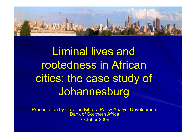

Liminal lives and rootedness in African cities: the case study of Johannesburg

Presentation by Caroline Kihato: Policy Analyst Development Bank of Southern AfricaOctober 2006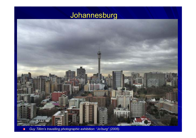



 $\blacksquare$ Guy Tillim's travelling photographic exhibition: "Jo'burg" (2005).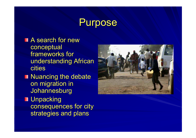#### **Purpose**

- **A** search for new conceptual frameworks for understanding African cities
- Nuancing the debate on migration in Johannesburg
- **Unpacking**  consequences for city strategies and plans

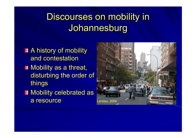# Discourses on mobility in **Johannesburg**

- A history of mobility and contestation
- Mobility as a threat, disturbing the order of things
- **Nobility celebrated as** a resource

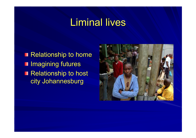# Liminal lives

Relationship to home **I** Imagining futures Relationship to host city Johannesburg

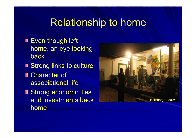#### Relationship to home

- **Even though left** home, an eye looking back
- Strong links to culture
- **Character of** associational life
- **Strong economic ties** and investments back home

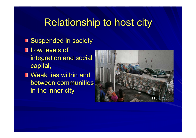## Relationship to host city

#### **Suspended in society**

- **Low levels of** integration and social capital,
- **Neak ties within and** between communities in the inner city

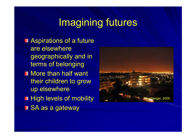## Imagining futures

- **Aspirations of a future** are elsewhere geographically and in terms of belonging
- **Nore than half want** their children to grow up elsewhere
- **High levels of mobility**
- **SA as a gateway**

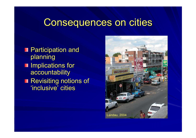## Consequences on cities

- **Participation and** planning
- Implications for accountability
- Revisiting notions of 'inclusive' cities